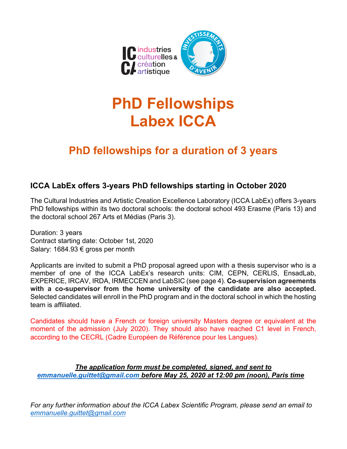

# **PhD Fellowships Labex ICCA**

# **PhD fellowships for a duration of 3 years**

### **ICCA LabEx offers 3-years PhD fellowships starting in October 2020**

The Cultural Industries and Artistic Creation Excellence Laboratory (ICCA LabEx) offers 3-years PhD fellowships within its two doctoral schools: the doctoral school 493 Erasme (Paris 13) and the doctoral school 267 Arts et Médias (Paris 3).

Duration: 3 years Contract starting date: October 1st, 2020 Salary: 1684.93 € gross per month

Applicants are invited to submit a PhD proposal agreed upon with a thesis supervisor who is a member of one of the ICCA LabEx's research units: CIM, CEPN, CERLIS, EnsadLab, EXPERICE, IRCAV, IRDA, IRMECCEN and LabSIC (see page 4). **Co-supervision agreements with a co-supervisor from the home university of the candidate are also accepted.** Selected candidates will enroll in the PhD program and in the doctoral school in which the hosting team is affiliated.

Candidates should have a French or foreign university Masters degree or equivalent at the moment of the admission (July 2020). They should also have reached C1 level in French, according to the CECRL (Cadre Européen de Référence pour les Langues).

*The application form must be completed, signed, and sent to emmanuelle.guittet@gmail.com before May 25, 2020 at 12:00 pm (noon), Paris time*

*For any further information about the ICCA Labex Scientific Program, please send an email to emmanuelle.guittet@gmail.com*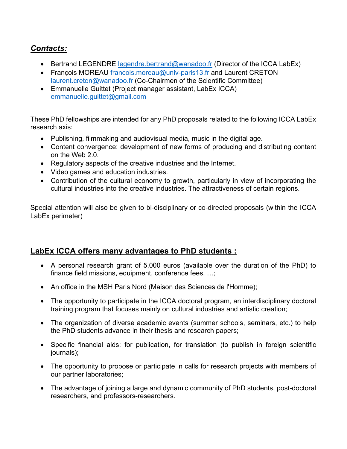# *Contacts:*

- Bertrand LEGENDRE legendre.bertrand@wanadoo.fr (Director of the ICCA LabEx)
- Francois MOREAU francois.moreau@univ-paris13.fr and Laurent CRETON laurent.creton@wanadoo.fr (Co-Chairmen of the Scientific Committee)
- Emmanuelle Guittet (Project manager assistant, LabEx ICCA) emmanuelle.guittet@gmail.com

These PhD fellowships are intended for any PhD proposals related to the following ICCA LabEx research axis:

- Publishing, filmmaking and audiovisual media, music in the digital age.
- Content convergence; development of new forms of producing and distributing content on the Web 2.0.
- Regulatory aspects of the creative industries and the Internet.
- Video games and education industries.
- Contribution of the cultural economy to growth, particularly in view of incorporating the cultural industries into the creative industries. The attractiveness of certain regions.

Special attention will also be given to bi-disciplinary or co-directed proposals (within the ICCA LabEx perimeter)

## **LabEx ICCA offers many advantages to PhD students :**

- A personal research grant of 5,000 euros (available over the duration of the PhD) to finance field missions, equipment, conference fees, …;
- An office in the MSH Paris Nord (Maison des Sciences de l'Homme);
- The opportunity to participate in the ICCA doctoral program, an interdisciplinary doctoral training program that focuses mainly on cultural industries and artistic creation;
- The organization of diverse academic events (summer schools, seminars, etc.) to help the PhD students advance in their thesis and research papers;
- Specific financial aids: for publication, for translation (to publish in foreign scientific journals);
- The opportunity to propose or participate in calls for research projects with members of our partner laboratories;
- The advantage of joining a large and dynamic community of PhD students, post-doctoral researchers, and professors-researchers.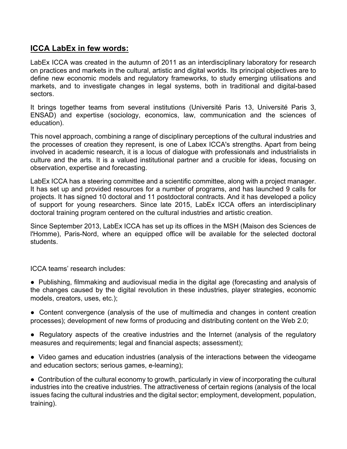### **ICCA LabEx in few words:**

LabEx ICCA was created in the autumn of 2011 as an interdisciplinary laboratory for research on practices and markets in the cultural, artistic and digital worlds. Its principal objectives are to define new economic models and regulatory frameworks, to study emerging utilisations and markets, and to investigate changes in legal systems, both in traditional and digital-based sectors.

It brings together teams from several institutions (Université Paris 13, Université Paris 3, ENSAD) and expertise (sociology, economics, law, communication and the sciences of education).

This novel approach, combining a range of disciplinary perceptions of the cultural industries and the processes of creation they represent, is one of Labex ICCA's strengths. Apart from being involved in academic research, it is a locus of dialogue with professionals and industrialists in culture and the arts. It is a valued institutional partner and a crucible for ideas, focusing on observation, expertise and forecasting.

LabEx ICCA has a steering committee and a scientific committee, along with a project manager. It has set up and provided resources for a number of programs, and has launched 9 calls for projects. It has signed 10 doctoral and 11 postdoctoral contracts. And it has developed a policy of support for young researchers. Since late 2015, LabEx ICCA offers an interdisciplinary doctoral training program centered on the cultural industries and artistic creation.

Since September 2013, LabEx ICCA has set up its offices in the MSH (Maison des Sciences de l'Homme), Paris-Nord, where an equipped office will be available for the selected doctoral students.

ICCA teams' research includes:

- Publishing, filmmaking and audiovisual media in the digital age (forecasting and analysis of the changes caused by the digital revolution in these industries, player strategies, economic models, creators, uses, etc.);
- Content convergence (analysis of the use of multimedia and changes in content creation processes); development of new forms of producing and distributing content on the Web 2.0;
- Regulatory aspects of the creative industries and the Internet (analysis of the regulatory measures and requirements; legal and financial aspects; assessment);
- Video games and education industries (analysis of the interactions between the videogame and education sectors; serious games, e-learning);

• Contribution of the cultural economy to growth, particularly in view of incorporating the cultural industries into the creative industries. The attractiveness of certain regions (analysis of the local issues facing the cultural industries and the digital sector; employment, development, population, training).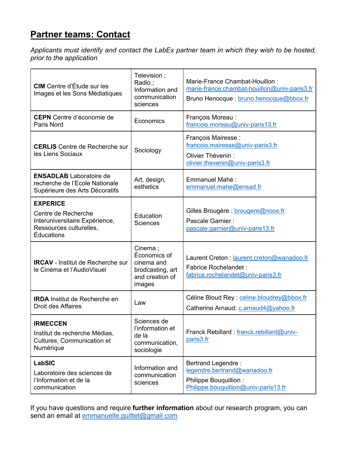# **Partner teams: Contact**

*Applicants must identify and contact the LabEx partner team in which they wish to be hosted, prior to the application* 

| <b>CIM</b> Centre d'Étude sur les<br>Images et les Sons Médiatiques                                               | Television;<br>Radio;<br>Information and<br>communication<br>sciences                  | Marie-France Chambat-Houillon:<br>marie-france.chambat-houillon@univ-paris3.fr<br>Bruno Henocque : bruno.henocque@bbox.fr  |
|-------------------------------------------------------------------------------------------------------------------|----------------------------------------------------------------------------------------|----------------------------------------------------------------------------------------------------------------------------|
| <b>CEPN</b> Centre d'économie de<br>Paris Nord                                                                    | Economics                                                                              | François Moreau:<br>francois.moreau@univ-paris13.fr                                                                        |
| <b>CERLIS</b> Centre de Recherche sur<br>les Liens Sociaux                                                        | Sociology                                                                              | François Mairesse :<br>francois.mairesse@univ-paris3.fr<br>Olivier Thévenin :<br>olivier.thevenin@univ-paris3.fr           |
| <b>ENSADLAB</b> Laboratoire de<br>recherche de l'Ecole Nationale<br>Supérieure des Arts Décoratifs                | Art, design,<br>esthetics                                                              | Emmanuel Mahé:<br>emmanuel.mahe@ensad.fr                                                                                   |
| <b>EXPERICE</b><br>Centre de Recherche<br>Interuniversitaire Expérience,<br>Ressources culturelles,<br>Éducations | Education<br><b>Sciences</b>                                                           | Gilles Brougère : brougere@noos.fr<br>Pascale Garnier:<br>pascale.garnier@univ-paris13.fr                                  |
| <b>IRCAV</b> - Institut de Recherche sur<br>le Cinéma et l'AudioVisuel                                            | Cinema;<br>Économics of<br>cinema and<br>brodcasting, art<br>and creation of<br>images | Laurent Creton: laurent.creton@wanadoo.fr<br><b>Fabrice Rochelandet:</b><br>fabrice.rochelandet@univ-paris3.fr             |
| <b>IRDA</b> Institut de Recherche en<br>Droit des Affaires                                                        | Law                                                                                    | Céline Bloud Rey : celine.bloudrey@bbox.fr<br>Catherine Arnaud: c.arnaud4@yahoo.fr                                         |
| <b>IRMECCEN</b><br>Institut de recherche Médias,<br>Cultures, Communication et<br>Numérique                       | Sciences de<br>l'information et<br>de la<br>communication,<br>sociologie               | Franck Rebillard: franck.rebillard@univ-<br>paris3.fr                                                                      |
| <b>LabSIC</b><br>Laboratoire des sciences de<br>l'Information et de la<br>communication                           | Information and<br>communication<br>sciences                                           | <b>Bertrand Legendre:</b><br>legendre.bertrand@wanadoo.fr<br>Philippe Bouquillion:<br>Philippe.bouquillion@univ-paris13.fr |

If you have questions and require **further information** about our research program, you can send an email at emmanuelle.guittet@gmail.com